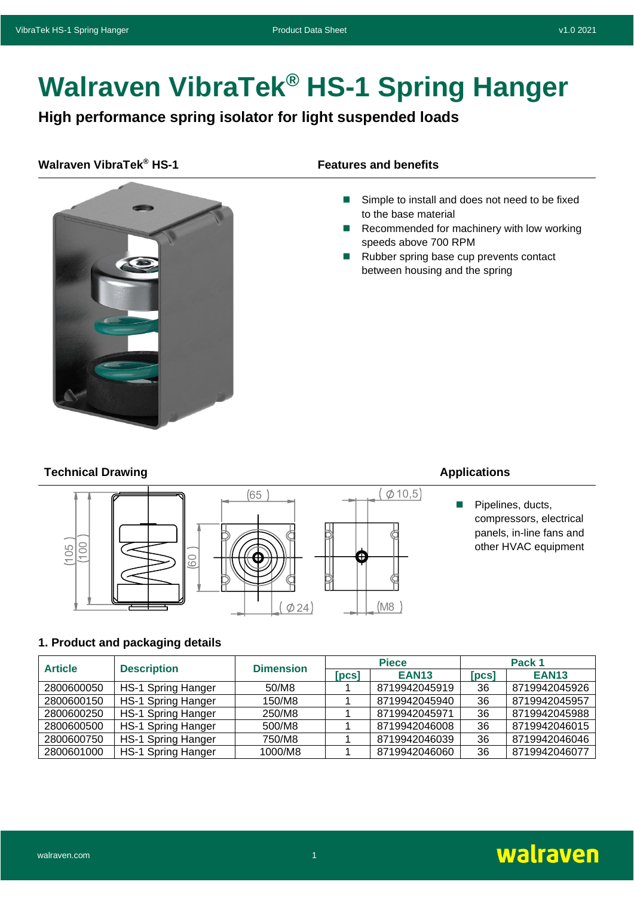# **Walraven VibraTek® HS-1 Spring Hanger**

**High performance spring isolator for light suspended loads**

### **Walraven VibraTek® HS-1 Features and benefits**



- Simple to install and does not need to be fixed to the base material
- Recommended for machinery with low working speeds above 700 RPM
- Rubber spring base cup prevents contact between housing and the spring

# **Technical Drawing Applications Applications**



■ Pipelines, ducts, compressors, electrical panels, in-line fans and other HVAC equipment

### **1. Product and packaging details**

| <b>Article</b> | <b>Description</b>        | <b>Dimension</b> |       | <b>Piece</b>  | Pack 1 |               |  |
|----------------|---------------------------|------------------|-------|---------------|--------|---------------|--|
|                |                           |                  | [PCS] | <b>EAN13</b>  | [pcs]  | <b>EAN13</b>  |  |
| 2800600050     | HS-1 Spring Hanger        | 50/M8            |       | 8719942045919 | 36     | 8719942045926 |  |
| 2800600150     | <b>HS-1 Spring Hanger</b> | 150/M8           |       | 8719942045940 | 36     | 8719942045957 |  |
| 2800600250     | <b>HS-1 Spring Hanger</b> | 250/M8           |       | 8719942045971 | 36     | 8719942045988 |  |
| 2800600500     | <b>HS-1 Spring Hanger</b> | 500/M8           |       | 8719942046008 | 36     | 8719942046015 |  |
| 2800600750     | <b>HS-1 Spring Hanger</b> | 750/M8           |       | 8719942046039 | 36     | 8719942046046 |  |
| 2800601000     | <b>HS-1 Spring Hanger</b> | 1000/M8          |       | 8719942046060 | 36     | 8719942046077 |  |